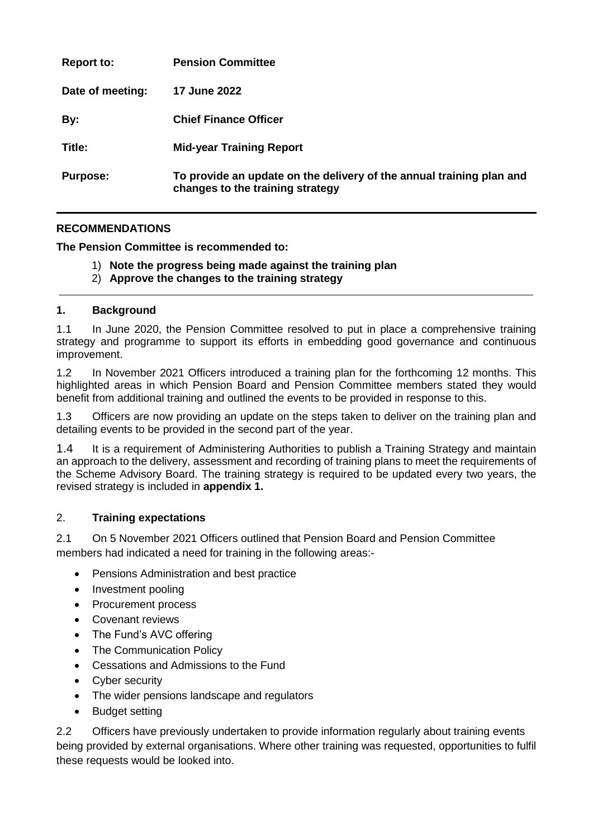| <b>Report to:</b> | <b>Pension Committee</b>                                                                                 |
|-------------------|----------------------------------------------------------------------------------------------------------|
| Date of meeting:  | <b>17 June 2022</b>                                                                                      |
| By:               | <b>Chief Finance Officer</b>                                                                             |
| Title:            | <b>Mid-year Training Report</b>                                                                          |
| <b>Purpose:</b>   | To provide an update on the delivery of the annual training plan and<br>changes to the training strategy |

#### **RECOMMENDATIONS**

**The Pension Committee is recommended to:**

- 1) **Note the progress being made against the training plan**
- 2) **Approve the changes to the training strategy**

#### **1. Background**

1.1 In June 2020, the Pension Committee resolved to put in place a comprehensive training strategy and programme to support its efforts in embedding good governance and continuous improvement.

1.2 In November 2021 Officers introduced a training plan for the forthcoming 12 months. This highlighted areas in which Pension Board and Pension Committee members stated they would benefit from additional training and outlined the events to be provided in response to this.

1.3 Officers are now providing an update on the steps taken to deliver on the training plan and detailing events to be provided in the second part of the year.

1.4 It is a requirement of Administering Authorities to publish a Training Strategy and maintain an approach to the delivery, assessment and recording of training plans to meet the requirements of the Scheme Advisory Board. The training strategy is required to be updated every two years, the revised strategy is included in **appendix 1.**

#### 2. **Training expectations**

2.1 On 5 November 2021 Officers outlined that Pension Board and Pension Committee members had indicated a need for training in the following areas:-

- Pensions Administration and best practice
- Investment pooling
- Procurement process
- Covenant reviews
- The Fund's AVC offering
- The Communication Policy
- Cessations and Admissions to the Fund
- Cyber security
- The wider pensions landscape and regulators
- Budget setting

2.2 Officers have previously undertaken to provide information regularly about training events being provided by external organisations. Where other training was requested, opportunities to fulfil these requests would be looked into.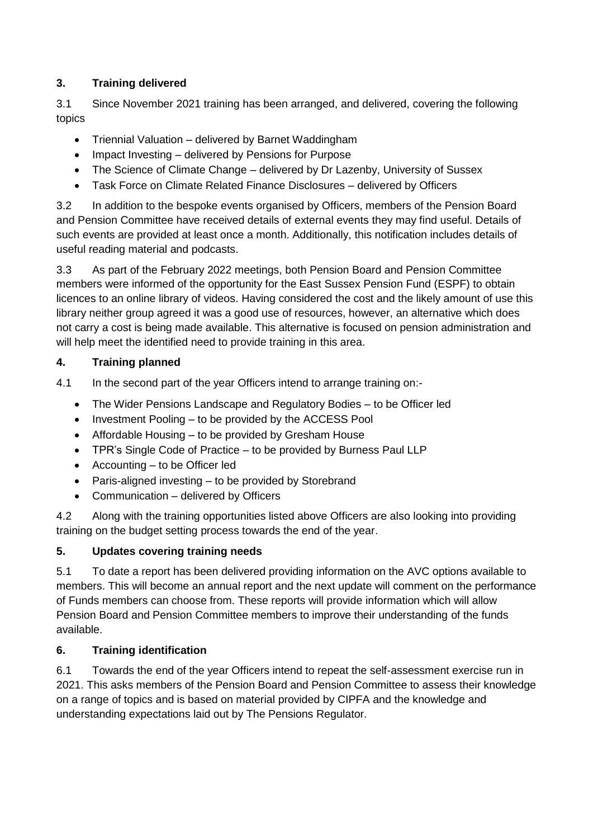### **3. Training delivered**

3.1 Since November 2021 training has been arranged, and delivered, covering the following topics

- Triennial Valuation delivered by Barnet Waddingham
- Impact Investing delivered by Pensions for Purpose
- The Science of Climate Change delivered by Dr Lazenby, University of Sussex
- Task Force on Climate Related Finance Disclosures delivered by Officers

3.2 In addition to the bespoke events organised by Officers, members of the Pension Board and Pension Committee have received details of external events they may find useful. Details of such events are provided at least once a month. Additionally, this notification includes details of useful reading material and podcasts.

3.3 As part of the February 2022 meetings, both Pension Board and Pension Committee members were informed of the opportunity for the East Sussex Pension Fund (ESPF) to obtain licences to an online library of videos. Having considered the cost and the likely amount of use this library neither group agreed it was a good use of resources, however, an alternative which does not carry a cost is being made available. This alternative is focused on pension administration and will help meet the identified need to provide training in this area.

#### **4. Training planned**

- 4.1 In the second part of the year Officers intend to arrange training on:-
	- The Wider Pensions Landscape and Regulatory Bodies to be Officer led
	- Investment Pooling to be provided by the ACCESS Pool
	- Affordable Housing to be provided by Gresham House
	- TPR's Single Code of Practice to be provided by Burness Paul LLP
	- Accounting to be Officer led
	- Paris-aligned investing to be provided by Storebrand
	- Communication delivered by Officers

4.2 Along with the training opportunities listed above Officers are also looking into providing training on the budget setting process towards the end of the year.

# **5. Updates covering training needs**

5.1 To date a report has been delivered providing information on the AVC options available to members. This will become an annual report and the next update will comment on the performance of Funds members can choose from. These reports will provide information which will allow Pension Board and Pension Committee members to improve their understanding of the funds available.

# **6. Training identification**

6.1 Towards the end of the year Officers intend to repeat the self-assessment exercise run in 2021. This asks members of the Pension Board and Pension Committee to assess their knowledge on a range of topics and is based on material provided by CIPFA and the knowledge and understanding expectations laid out by The Pensions Regulator.